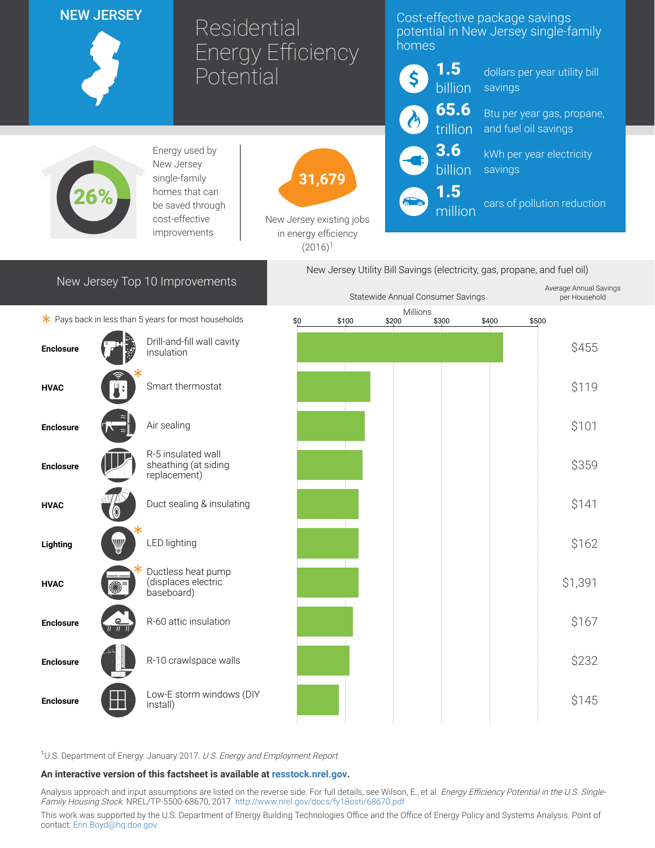## NEW JERSEY

Residential Energy Efficiency Potential

# Cost-effective package savings potential in New Jersey single-family homes



dollars per year utility bill savings

Btu per year gas, propane, and fuel oil savings

kWh per year electricity savings

cars of pollution reduction

.<br>Per House alan ala



Energy used by New Jersey single-family homes that can be saved through cost-effective improvements



New Jersey existing jobs in energy efficiency  $(2016)^1$ 

# New Jersey Top 10 Improvements

New Jersey Utility Bill Savings (electricity, gas, propane, and fuel oil) Average Annual Savings

Statewide Annual Consumer Savings

million

|                                                      |                              |                                                            | Utate Mude Annuar Consumer Savings |       |                   |       |       |       | het it innoctional |
|------------------------------------------------------|------------------------------|------------------------------------------------------------|------------------------------------|-------|-------------------|-------|-------|-------|--------------------|
| * Pays back in less than 5 years for most households |                              |                                                            | \$0                                | \$100 | Millions<br>\$200 | \$300 | \$400 | \$500 |                    |
| <b>Enclosure</b>                                     |                              | Drill-and-fill wall cavity<br>insulation                   |                                    |       |                   |       |       |       | \$455              |
| <b>HVAC</b>                                          |                              | Smart thermostat                                           |                                    |       |                   |       |       |       | \$119              |
| <b>Enclosure</b>                                     |                              | Air sealing                                                |                                    |       |                   |       |       |       | \$101              |
| <b>Enclosure</b>                                     |                              | R-5 insulated wall<br>sheathing (at siding<br>replacement) |                                    |       |                   |       |       |       | \$359              |
| <b>HVAC</b>                                          |                              | Duct sealing & insulating                                  |                                    |       |                   |       |       |       | \$141              |
| Lighting                                             | V                            | LED lighting                                               |                                    |       |                   |       |       |       | \$162              |
| <b>HVAC</b>                                          | ▩°                           | Ductless heat pump<br>(displaces electric<br>baseboard)    |                                    |       |                   |       |       |       | \$1,391            |
| <b>Enclosure</b>                                     | <u>ତ</u><br><u> 82 82 82</u> | R-60 attic insulation                                      |                                    |       |                   |       |       |       | \$167              |
| <b>Enclosure</b>                                     |                              | R-10 crawlspace walls                                      |                                    |       |                   |       |       |       | \$232              |
| <b>Enclosure</b>                                     |                              | Low-E storm windows (DIY<br>install)                       |                                    |       |                   |       |       |       | \$145              |
|                                                      |                              |                                                            |                                    |       |                   |       |       |       |                    |

<sup>1</sup>U.S. Department of Energy. January 2017. U.S. Energy and Employment Report

#### An interactive version of this factsheet is available at [resstock.nrel.gov.](https://resstock.nrel.gov/)

Analysis approach and input assumptions are listed on the reverse side. For full details, see Wilson, E., et al. *Energy Efficiency Potential in the U.S. Single*-Family Housing Stock. NREL/TP-5500-68670, 2017. <http://www.nrel.gov/docs/fy18osti/68670.pdf>

This work was supported by the U.S. Department of Energy Building Technologies Office and the Office of Energy Policy and Systems Analysis. Point of contact: [Erin.Boyd@hq.doe.gov](mailto:Erin.Boyd@hq.doe.gov)